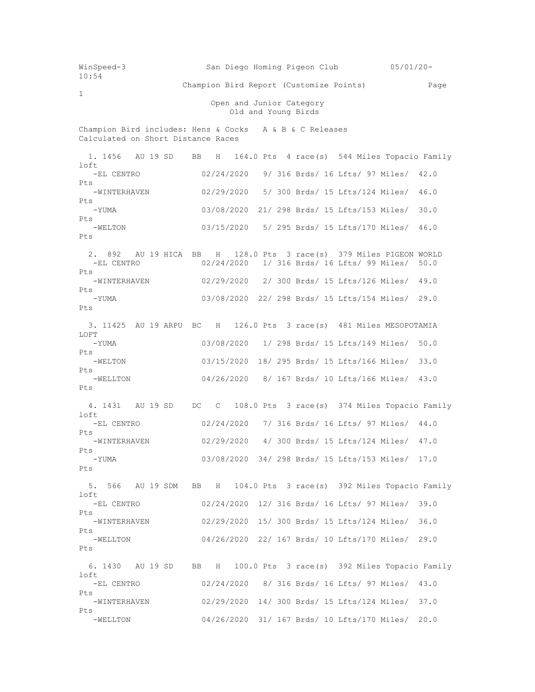WinSpeed-3 San Diego Homing Pigeon Club 05/01/20- 10:54 Champion Bird Report (Customize Points) Page 1 Open and Junior Category Old and Young Birds Champion Bird includes: Hens & Cocks A & B & C Releases Calculated on Short Distance Races 1. 1456 AU 19 SD BB H 164.0 Pts 4 race(s) 544 Miles Topacio Family loft -EL CENTRO 02/24/2020 9/ 316 Brds/ 16 Lfts/ 97 Miles/ 42.0 Pts -WINTERHAVEN 02/29/2020 5/ 300 Brds/ 15 Lfts/124 Miles/ 46.0 Pts -YUMA 03/08/2020 21/ 298 Brds/ 15 Lfts/153 Miles/ 30.0 Pts -WELTON 03/15/2020 5/ 295 Brds/ 15 Lfts/170 Miles/ 46.0  $P_{\text{t}}$ s 2. 892 AU 19 HICA BB H 128.0 Pts 3 race(s) 379 Miles PIGEON WORLD -EL CENTRO 02/24/2020 1/ 316 Brds/ 16 Lfts/ 99 Miles/ 50.0 Pts -WINTERHAVEN 02/29/2020 2/ 300 Brds/ 15 Lfts/126 Miles/ 49.0 Pts -YUMA 03/08/2020 22/ 298 Brds/ 15 Lfts/154 Miles/ 29.0 Pts 3. 11425 AU 19 ARPU BC H 126.0 Pts 3 race(s) 481 Miles MESOPOTAMIA LOFT -YUMA 03/08/2020 1/ 298 Brds/ 15 Lfts/149 Miles/ 50.0 Pts -WELTON 03/15/2020 18/ 295 Brds/ 15 Lfts/166 Miles/ 33.0 Pts 04/26/2020 8/ 167 Brds/ 10 Lfts/166 Miles/ 43.0 Pts 4. 1431 AU 19 SD DC C 108.0 Pts 3 race(s) 374 Miles Topacio Family loft -EL CENTRO 02/24/2020 7/ 316 Brds/ 16 Lfts/ 97 Miles/ 44.0 Pts<br>-WINTERHAVEN 02/29/2020 4/ 300 Brds/ 15 Lfts/124 Miles/ 47.0 Pts 03/08/2020 34/ 298 Brds/ 15 Lfts/153 Miles/ 17.0 Pts 5. 566 AU 19 SDM BB H 104.0 Pts 3 race(s) 392 Miles Topacio Family loft<br>-EL CENTRO 02/24/2020 12/ 316 Brds/ 16 Lfts/ 97 Miles/ 39.0 Pts -WINTERHAVEN 02/29/2020 15/ 300 Brds/ 15 Lfts/124 Miles/ 36.0 Pts -WELLTON 04/26/2020 22/ 167 Brds/ 10 Lfts/170 Miles/ 29.0 Pts 6. 1430 AU 19 SD BB H 100.0 Pts 3 race(s) 392 Miles Topacio Family loft -EL CENTRO 02/24/2020 8/ 316 Brds/ 16 Lfts/ 97 Miles/ 43.0 Pts -WINTERHAVEN 02/29/2020 14/ 300 Brds/ 15 Lfts/124 Miles/ 37.0 Pts -WELLTON 04/26/2020 31/ 167 Brds/ 10 Lfts/170 Miles/ 20.0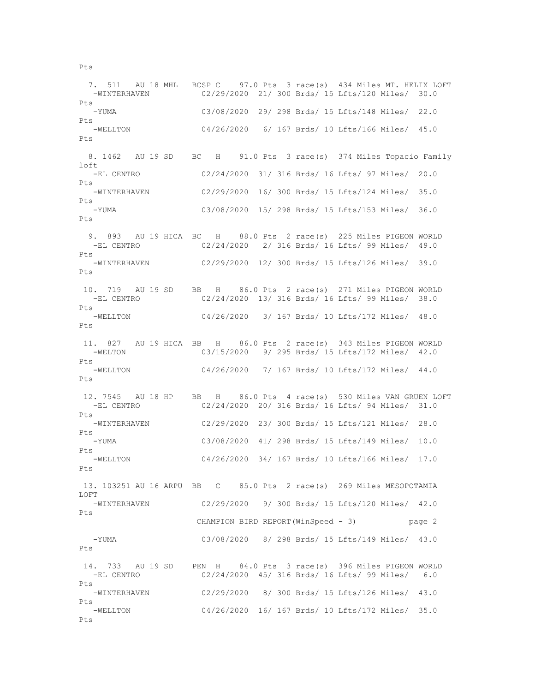7. 511 AU 18 MHL BCSP C 97.0 Pts 3 race(s) 434 Miles MT. HELIX LOFT -WINTERHAVEN 02/29/2020 21/ 300 Brds/ 15 Lfts/120 Miles/ 30.0 Pts -YUMA 03/08/2020 29/ 298 Brds/ 15 Lfts/148 Miles/ 22.0 Pts -WELLTON 04/26/2020 6/ 167 Brds/ 10 Lfts/166 Miles/ 45.0 Pts 8. 1462 AU 19 SD BC H 91.0 Pts 3 race(s) 374 Miles Topacio Family loft -EL CENTRO 02/24/2020 31/ 316 Brds/ 16 Lfts/ 97 Miles/ 20.0 Pts -WINTERHAVEN 02/29/2020 16/ 300 Brds/ 15 Lfts/124 Miles/ 35.0 Pts -YUMA 03/08/2020 15/ 298 Brds/ 15 Lfts/153 Miles/ 36.0 Pts 9. 893 AU 19 HICA BC H 88.0 Pts 2 race(s) 225 Miles PIGEON WORLD -EL CENTRO 02/24/2020 2/ 316 Brds/ 16 Lfts/ 99 Miles/ 49.0 Pts -WINTERHAVEN 02/29/2020 12/ 300 Brds/ 15 Lfts/126 Miles/ 39.0 Pts 10. 719 AU 19 SD BB H 86.0 Pts 2 race(s) 271 Miles PIGEON WORLD 02/24/2020 13/ 316 Brds/ 16 Lfts/ 99 Miles/ 38.0 Pts<br>-WELLTON 04/26/2020 3/ 167 Brds/ 10 Lfts/172 Miles/ 48.0  $P_{\text{max}}$  11. 827 AU 19 HICA BB H 86.0 Pts 2 race(s) 343 Miles PIGEON WORLD -WELTON 03/15/2020 9/ 295 Brds/ 15 Lfts/172 Miles/ 42.0 Pts 04/26/2020 7/ 167 Brds/ 10 Lfts/172 Miles/ 44.0 Pts 12. 7545 AU 18 HP BB H 86.0 Pts 4 race(s) 530 Miles VAN GRUEN LOFT -EL CENTRO 02/24/2020 20/ 316 Brds/ 16 Lfts/ 94 Miles/ 31.0 Pts -WINTERHAVEN 02/29/2020 23/ 300 Brds/ 15 Lfts/121 Miles/ 28.0 Pts<br>-YUMA 03/08/2020 41/ 298 Brds/ 15 Lfts/149 Miles/ 10.0 Pts 04/26/2020 34/ 167 Brds/ 10 Lfts/166 Miles/ 17.0 Pts 13. 103251 AU 16 ARPU BB C 85.0 Pts 2 race(s) 269 Miles MESOPOTAMIA LOFT<br>-WINTERHAVEN 02/29/2020 9/ 300 Brds/ 15 Lfts/120 Miles/ 42.0 Pts CHAMPION BIRD REPORT(WinSpeed - 3) page 2 -YUMA 03/08/2020 8/ 298 Brds/ 15 Lfts/149 Miles/ 43.0 Pts 14. 733 AU 19 SD PEN H 84.0 Pts 3 race(s) 396 Miles PIGEON WORLD 02/24/2020 45/ 316 Brds/ 16 Lfts/ 99 Miles/ 6.0 Pts -WINTERHAVEN 02/29/2020 8/ 300 Brds/ 15 Lfts/126 Miles/ 43.0 Pts -WELLTON 04/26/2020 16/ 167 Brds/ 10 Lfts/172 Miles/ 35.0 Pts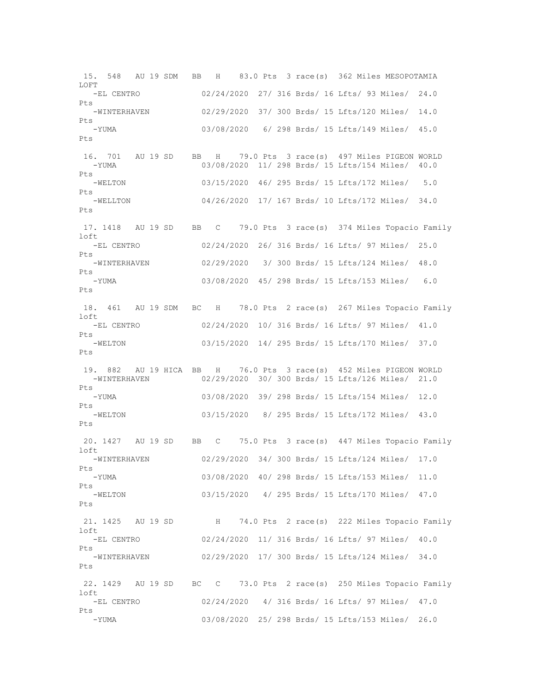15. 548 AU 19 SDM BB H 83.0 Pts 3 race(s) 362 Miles MESOPOTAMIA  $L$ OFT -EL CENTRO 02/24/2020 27/ 316 Brds/ 16 Lfts/ 93 Miles/ 24.0 Pts -WINTERHAVEN 02/29/2020 37/ 300 Brds/ 15 Lfts/120 Miles/ 14.0 Pts -YUMA 03/08/2020 6/ 298 Brds/ 15 Lfts/149 Miles/ 45.0 Pts 16. 701 AU 19 SD BB H 79.0 Pts 3 race(s) 497 Miles PIGEON WORLD -YUMA 03/08/2020 11/ 298 Brds/ 15 Lfts/154 Miles/ 40.0  $P_{\text{t}}$ s -WELTON 03/15/2020 46/ 295 Brds/ 15 Lfts/172 Miles/ 5.0 Pts -WELLTON 04/26/2020 17/ 167 Brds/ 10 Lfts/172 Miles/ 34.0 Pts 17. 1418 AU 19 SD BB C 79.0 Pts 3 race(s) 374 Miles Topacio Family  $1 \cap f$ <sup> $+$ </sup> -EL CENTRO 02/24/2020 26/ 316 Brds/ 16 Lfts/ 97 Miles/ 25.0 Pts -WINTERHAVEN 02/29/2020 3/ 300 Brds/ 15 Lfts/124 Miles/ 48.0 Pts -YUMA 03/08/2020 45/ 298 Brds/ 15 Lfts/153 Miles/ 6.0 Pts 18. 461 AU 19 SDM BC H 78.0 Pts 2 race(s) 267 Miles Topacio Family loft -EL CENTRO 02/24/2020 10/ 316 Brds/ 16 Lfts/ 97 Miles/ 41.0 Pts -WELTON 03/15/2020 14/ 295 Brds/ 15 Lfts/170 Miles/ 37.0 Pts 19. 882 AU 19 HICA BB H 76.0 Pts 3 race(s) 452 Miles PIGEON WORLD -WINTERHAVEN 02/29/2020 30/ 300 Brds/ 15 Lfts/126 Miles/ 21.0 Pts -YUMA 03/08/2020 39/ 298 Brds/ 15 Lfts/154 Miles/ 12.0 Pts -WELTON 03/15/2020 8/ 295 Brds/ 15 Lfts/172 Miles/ 43.0 Pts 20. 1427 AU 19 SD BB C 75.0 Pts 3 race(s) 447 Miles Topacio Family loft<br>-WINTERHAVEN 02/29/2020 34/ 300 Brds/ 15 Lfts/124 Miles/ 17.0 Pts -YUMA 03/08/2020 40/ 298 Brds/ 15 Lfts/153 Miles/ 11.0 Pts -WELTON 03/15/2020 4/ 295 Brds/ 15 Lfts/170 Miles/ 47.0 Pts 21. 1425 AU 19 SD H 74.0 Pts 2 race(s) 222 Miles Topacio Family loft -EL CENTRO 02/24/2020 11/ 316 Brds/ 16 Lfts/ 97 Miles/ 40.0 Pts -WINTERHAVEN 02/29/2020 17/ 300 Brds/ 15 Lfts/124 Miles/ 34.0 Pts 22. 1429 AU 19 SD BC C 73.0 Pts 2 race(s) 250 Miles Topacio Family loft -EL CENTRO 02/24/2020 4/ 316 Brds/ 16 Lfts/ 97 Miles/ 47.0 Pts -YUMA 03/08/2020 25/ 298 Brds/ 15 Lfts/153 Miles/ 26.0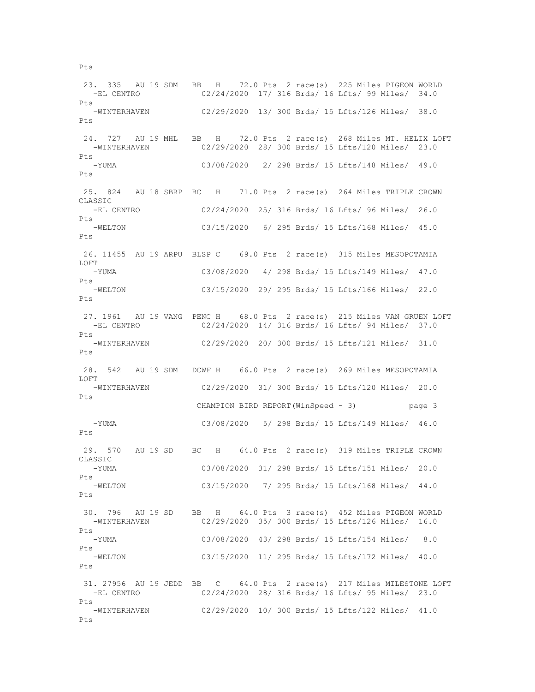23. 335 AU 19 SDM BB H 72.0 Pts 2 race(s) 225 Miles PIGEON WORLD -EL CENTRO 02/24/2020 17/ 316 Brds/ 16 Lfts/ 99 Miles/ 34.0 Pts -WINTERHAVEN 02/29/2020 13/ 300 Brds/ 15 Lfts/126 Miles/ 38.0 Pts 24. 727 AU 19 MHL BB H 72.0 Pts 2 race(s) 268 Miles MT. HELIX LOFT -WINTERHAVEN 02/29/2020 28/ 300 Brds/ 15 Lfts/120 Miles/ 23.0 Pts -YUMA 03/08/2020 2/ 298 Brds/ 15 Lfts/148 Miles/ 49.0  $P_{\text{f}}$ s 25. 824 AU 18 SBRP BC H 71.0 Pts 2 race(s) 264 Miles TRIPLE CROWN CLASSIC -EL CENTRO 02/24/2020 25/ 316 Brds/ 16 Lfts/ 96 Miles/ 26.0 Pts -WELTON 03/15/2020 6/ 295 Brds/ 15 Lfts/168 Miles/ 45.0  $P_{\text{t}}$ s 26. 11455 AU 19 ARPU BLSP C 69.0 Pts 2 race(s) 315 Miles MESOPOTAMIA LOFT -YUMA 03/08/2020 4/ 298 Brds/ 15 Lfts/149 Miles/ 47.0 Pts -WELTON 03/15/2020 29/ 295 Brds/ 15 Lfts/166 Miles/ 22.0 Pts 27. 1961 AU 19 VANG PENC H 68.0 Pts 2 race(s) 215 Miles VAN GRUEN LOFT -EL CENTRO 02/24/2020 14/ 316 Brds/ 16 Lfts/ 94 Miles/ 37.0 Pts -WINTERHAVEN 02/29/2020 20/ 300 Brds/ 15 Lfts/121 Miles/ 31.0 Pts 28. 542 AU 19 SDM DCWF H 66.0 Pts 2 race(s) 269 Miles MESOPOTAMIA LOFT<br>-WINTERHAVEN 02/29/2020 31/ 300 Brds/ 15 Lfts/120 Miles/ 20.0 Pts CHAMPION BIRD REPORT(WinSpeed - 3) page 3 -YUMA 03/08/2020 5/ 298 Brds/ 15 Lfts/149 Miles/ 46.0 Pts 29. 570 AU 19 SD BC H 64.0 Pts 2 race(s) 319 Miles TRIPLE CROWN CLASSIC -YUMA 03/08/2020 31/ 298 Brds/ 15 Lfts/151 Miles/ 20.0 Pts -WELTON 03/15/2020 7/ 295 Brds/ 15 Lfts/168 Miles/ 44.0 Pts 30. 796 AU 19 SD BB H 64.0 Pts 3 race(s) 452 Miles PIGEON WORLD -WINTERHAVEN 02/29/2020 35/ 300 Brds/ 15 Lfts/126 Miles/ 16.0 Pts -YUMA 03/08/2020 43/ 298 Brds/ 15 Lfts/154 Miles/ 8.0 Pts -WELTON 03/15/2020 11/ 295 Brds/ 15 Lfts/172 Miles/ 40.0 Pts 31. 27956 AU 19 JEDD BB C 64.0 Pts 2 race(s) 217 Miles MILESTONE LOFT -EL CENTRO 02/24/2020 28/ 316 Brds/ 16 Lfts/ 95 Miles/ 23.0 Pts -WINTERHAVEN 02/29/2020 10/ 300 Brds/ 15 Lfts/122 Miles/ 41.0 Pts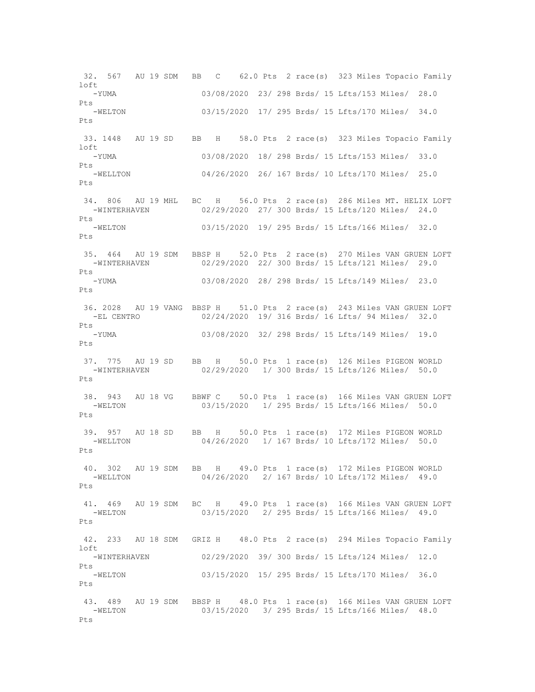32. 567 AU 19 SDM BB C 62.0 Pts 2 race(s) 323 Miles Topacio Family  $1 \cap f$  -YUMA 03/08/2020 23/ 298 Brds/ 15 Lfts/153 Miles/ 28.0 Pts -WELTON 03/15/2020 17/ 295 Brds/ 15 Lfts/170 Miles/ 34.0 Pts 33. 1448 AU 19 SD BB H 58.0 Pts 2 race(s) 323 Miles Topacio Family  $1$  of  $t$  -YUMA 03/08/2020 18/ 298 Brds/ 15 Lfts/153 Miles/ 33.0 Pts -WELLTON 04/26/2020 26/ 167 Brds/ 10 Lfts/170 Miles/ 25.0 Pts 34. 806 AU 19 MHL BC H 56.0 Pts 2 race(s) 286 Miles MT. HELIX LOFT -WINTERHAVEN 02/29/2020 27/ 300 Brds/ 15 Lfts/120 Miles/ 24.0 Pts -WELTON 03/15/2020 19/ 295 Brds/ 15 Lfts/166 Miles/ 32.0  $P_{\text{f}}$ s 35. 464 AU 19 SDM BBSP H 52.0 Pts 2 race(s) 270 Miles VAN GRUEN LOFT -WINTERHAVEN 02/29/2020 22/ 300 Brds/ 15 Lfts/121 Miles/ 29.0 Pts -YUMA 03/08/2020 28/ 298 Brds/ 15 Lfts/149 Miles/ 23.0 Pts 36. 2028 AU 19 VANG BBSP H 51.0 Pts 2 race(s) 243 Miles VAN GRUEN LOFT 02/24/2020 19/ 316 Brds/ 16 Lfts/ 94 Miles/ 32.0 Pts -YUMA 03/08/2020 32/ 298 Brds/ 15 Lfts/149 Miles/ 19.0 Pts 37. 775 AU 19 SD BB H 50.0 Pts 1 race(s) 126 Miles PIGEON WORLD 02/29/2020 1/ 300 Brds/ 15 Lfts/126 Miles/ 50.0 Pts 38. 943 AU 18 VG BBWF C 50.0 Pts 1 race(s) 166 Miles VAN GRUEN LOFT -WELTON 03/15/2020 1/ 295 Brds/ 15 Lfts/166 Miles/ 50.0  $P_{\text{t}}$ s 39. 957 AU 18 SD BB H 50.0 Pts 1 race(s) 172 Miles PIGEON WORLD 04/26/2020 1/ 167 Brds/ 10 Lfts/172 Miles/ 50.0  $P + g$  40. 302 AU 19 SDM BB H 49.0 Pts 1 race(s) 172 Miles PIGEON WORLD -WELLTON 04/26/2020 2/ 167 Brds/ 10 Lfts/172 Miles/ 49.0 Pts 41. 469 AU 19 SDM BC H 49.0 Pts 1 race(s) 166 Miles VAN GRUEN LOFT -WELTON 03/15/2020 2/ 295 Brds/ 15 Lfts/166 Miles/ 49.0 Pts 42. 233 AU 18 SDM GRIZ H 48.0 Pts 2 race(s) 294 Miles Topacio Family loft<br>-WINTERHAVEN 02/29/2020 39/ 300 Brds/ 15 Lfts/124 Miles/ 12.0 Pts -WELTON 03/15/2020 15/ 295 Brds/ 15 Lfts/170 Miles/ 36.0 Pts 43. 489 AU 19 SDM BBSP H 48.0 Pts 1 race(s) 166 Miles VAN GRUEN LOFT<br>-WELTON 03/15/2020 3/ 295 Brds/ 15 Lfts/166 Miles/ 48.0 03/15/2020 3/ 295 Brds/ 15 Lfts/166 Miles/ 48.0 Pts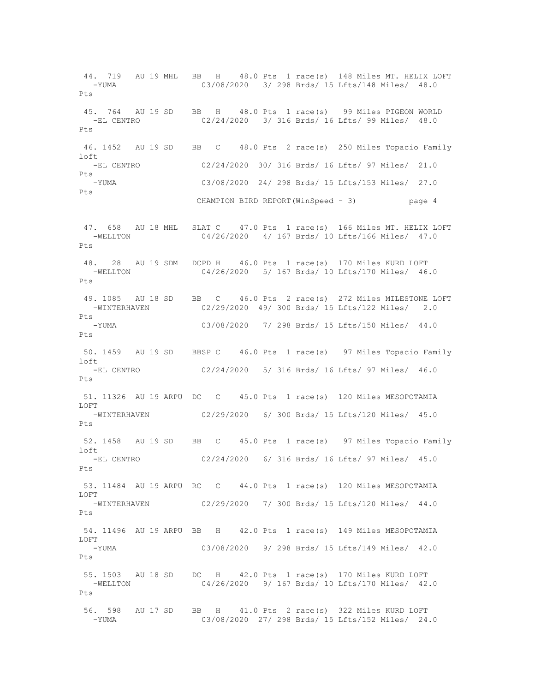44. 719 AU 19 MHL BB H 48.0 Pts 1 race(s) 148 Miles MT. HELIX LOFT -YUMA 03/08/2020 3/ 298 Brds/ 15 Lfts/148 Miles/ 48.0 Pts 45. 764 AU 19 SD BB H 48.0 Pts 1 race(s) 99 Miles PIGEON WORLD 02/24/2020 3/ 316 Brds/ 16 Lfts/ 99 Miles/ 48.0  $P_{\text{max}}$  46. 1452 AU 19 SD BB C 48.0 Pts 2 race(s) 250 Miles Topacio Family loft -EL CENTRO 02/24/2020 30/ 316 Brds/ 16 Lfts/ 97 Miles/ 21.0  $P + g$  -YUMA 03/08/2020 24/ 298 Brds/ 15 Lfts/153 Miles/ 27.0 Pts CHAMPION BIRD REPORT(WinSpeed - 3) page 4 47. 658 AU 18 MHL SLAT C 47.0 Pts 1 race(s) 166 Miles MT. HELIX LOFT<br>-WELLTON 04/26/2020 4/167 Brds/10 Lfts/166 Miles/ 47.0 04/26/2020 4/ 167 Brds/ 10 Lfts/166 Miles/ 47.0 Pts 48. 28 AU 19 SDM DCPD H 46.0 Pts 1 race(s) 170 Miles KURD LOFT -WELLTON 04/26/2020 5/ 167 Brds/ 10 Lfts/170 Miles/ 46.0 Pts 49. 1085 AU 18 SD BB C 46.0 Pts 2 race(s) 272 Miles MILESTONE LOFT -WINTERHAVEN 02/29/2020 49/ 300 Brds/ 15 Lfts/122 Miles/ 2.0 Pts -YUMA 03/08/2020 7/ 298 Brds/ 15 Lfts/150 Miles/ 44.0 Pts 50. 1459 AU 19 SD BBSP C 46.0 Pts 1 race(s) 97 Miles Topacio Family loft 02/24/2020 5/ 316 Brds/ 16 Lfts/ 97 Miles/ 46.0 Pts 51. 11326 AU 19 ARPU DC C 45.0 Pts 1 race(s) 120 Miles MESOPOTAMIA LOFT -WINTERHAVEN 02/29/2020 6/ 300 Brds/ 15 Lfts/120 Miles/ 45.0 Pts 52. 1458 AU 19 SD BB C 45.0 Pts 1 race(s) 97 Miles Topacio Family loft<br>-EL CENTRO 02/24/2020 6/ 316 Brds/ 16 Lfts/ 97 Miles/ 45.0 Pts 53. 11484 AU 19 ARPU RC C 44.0 Pts 1 race(s) 120 Miles MESOPOTAMIA LOFT -WINTERHAVEN 02/29/2020 7/ 300 Brds/ 15 Lfts/120 Miles/ 44.0 Pts 54. 11496 AU 19 ARPU BB H 42.0 Pts 1 race(s) 149 Miles MESOPOTAMIA LOFT -YUMA 03/08/2020 9/ 298 Brds/ 15 Lfts/149 Miles/ 42.0 Pts 55. 1503 AU 18 SD DC H 42.0 Pts 1 race(s) 170 Miles KURD LOFT -WELLTON 04/26/2020 9/ 167 Brds/ 10 Lfts/170 Miles/ 42.0 Pts 56. 598 AU 17 SD BB H 41.0 Pts 2 race(s) 322 Miles KURD LOFT -YUMA 03/08/2020 27/ 298 Brds/ 15 Lfts/152 Miles/ 24.0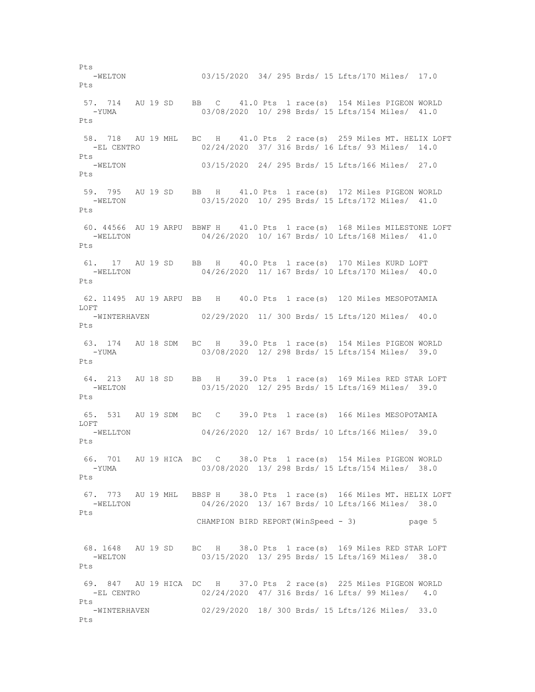Pts<br>-WELTON 03/15/2020 34/ 295 Brds/ 15 Lfts/170 Miles/ 17.0 Pts 57. 714 AU 19 SD BB C 41.0 Pts 1 race(s) 154 Miles PIGEON WORLD -YUMA 03/08/2020 10/ 298 Brds/ 15 Lfts/154 Miles/ 41.0 Pts 58. 718 AU 19 MHL BC H 41.0 Pts 2 race(s) 259 Miles MT. HELIX LOFT -EL CENTRO 02/24/2020 37/ 316 Brds/ 16 Lfts/ 93 Miles/ 14.0 Pts -WELTON 03/15/2020 24/ 295 Brds/ 15 Lfts/166 Miles/ 27.0  $P_{\text{f}}$ s 59. 795 AU 19 SD BB H 41.0 Pts 1 race(s) 172 Miles PIGEON WORLD -WELTON 03/15/2020 10/ 295 Brds/ 15 Lfts/172 Miles/ 41.0 Pts 60. 44566 AU 19 ARPU BBWF H 41.0 Pts 1 race(s) 168 Miles MILESTONE LOFT<br>-WELLTON 04/26/2020 10/167 Brds/10 Lfts/168 Miles/ 41.0 04/26/2020 10/ 167 Brds/ 10 Lfts/168 Miles/ 41.0 Pts 61. 17 AU 19 SD BB H 40.0 Pts 1 race(s) 170 Miles KURD LOFT -WELLTON 04/26/2020 11/ 167 Brds/ 10 Lfts/170 Miles/ 40.0 Pts 62. 11495 AU 19 ARPU BB H 40.0 Pts 1 race(s) 120 Miles MESOPOTAMIA LOFT -WINTERHAVEN 02/29/2020 11/ 300 Brds/ 15 Lfts/120 Miles/ 40.0  $P_{\text{max}}$  63. 174 AU 18 SDM BC H 39.0 Pts 1 race(s) 154 Miles PIGEON WORLD 03/08/2020 12/ 298 Brds/ 15 Lfts/154 Miles/ 39.0 Pts 64. 213 AU 18 SD BB H 39.0 Pts 1 race(s) 169 Miles RED STAR LOFT 03/15/2020 12/ 295 Brds/ 15 Lfts/169 Miles/ 39.0  $P_{\text{t}}$ s 65. 531 AU 19 SDM BC C 39.0 Pts 1 race(s) 166 Miles MESOPOTAMIA LOFT -WELLTON 04/26/2020 12/ 167 Brds/ 10 Lfts/166 Miles/ 39.0 Pts 66. 701 AU 19 HICA BC C 38.0 Pts 1 race(s) 154 Miles PIGEON WORLD -YUMA 03/08/2020 13/ 298 Brds/ 15 Lfts/154 Miles/ 38.0 Pts 67. 773 AU 19 MHL BBSP H 38.0 Pts 1 race(s) 166 Miles MT. HELIX LOFT 04/26/2020 13/ 167 Brds/ 10 Lfts/166 Miles/ 38.0 Pts CHAMPION BIRD REPORT(WinSpeed - 3) page 5 68. 1648 AU 19 SD BC H 38.0 Pts 1 race(s) 169 Miles RED STAR LOFT 03/15/2020 13/ 295 Brds/ 15 Lfts/169 Miles/ 38.0 Pts 69. 847 AU 19 HICA DC H 37.0 Pts 2 race(s) 225 Miles PIGEON WORLD -EL CENTRO 02/24/2020 47/ 316 Brds/ 16 Lfts/ 99 Miles/ 4.0 Pts -WINTERHAVEN 02/29/2020 18/ 300 Brds/ 15 Lfts/126 Miles/ 33.0 Pts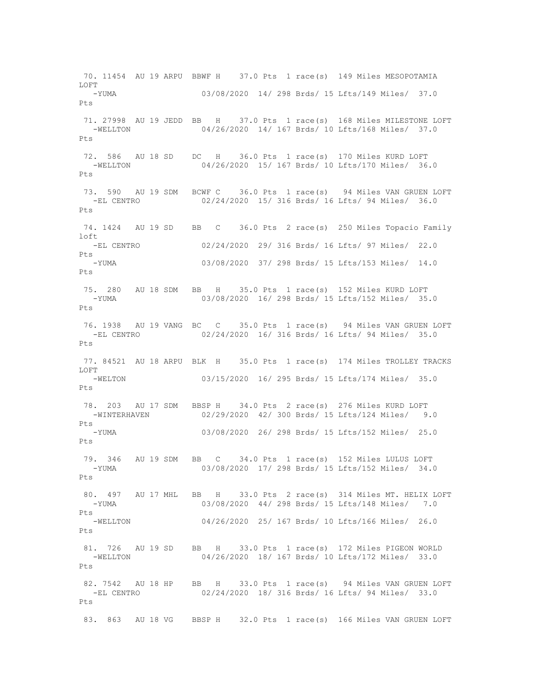70. 11454 AU 19 ARPU BBWF H 37.0 Pts 1 race(s) 149 Miles MESOPOTAMIA  $L$ OFT -YUMA 03/08/2020 14/ 298 Brds/ 15 Lfts/149 Miles/ 37.0 Pts 71. 27998 AU 19 JEDD BB H 37.0 Pts 1 race(s) 168 Miles MILESTONE LOFT -WELLTON 04/26/2020 14/ 167 Brds/ 10 Lfts/168 Miles/ 37.0 Pts 72. 586 AU 18 SD DC H 36.0 Pts 1 race(s) 170 Miles KURD LOFT -WELLTON 04/26/2020 15/ 167 Brds/ 10 Lfts/170 Miles/ 36.0  $P_{\text{t}}$ s 73. 590 AU 19 SDM BCWF C 36.0 Pts 1 race(s) 94 Miles VAN GRUEN LOFT -EL CENTRO 02/24/2020 15/ 316 Brds/ 16 Lfts/ 94 Miles/ 36.0 Pts 74. 1424 AU 19 SD BB C 36.0 Pts 2 race(s) 250 Miles Topacio Family  $ln 6t$  -EL CENTRO 02/24/2020 29/ 316 Brds/ 16 Lfts/ 97 Miles/ 22.0 Pts -YUMA 03/08/2020 37/ 298 Brds/ 15 Lfts/153 Miles/ 14.0 Pts 75. 280 AU 18 SDM BB H 35.0 Pts 1 race(s) 152 Miles KURD LOFT -YUMA 03/08/2020 16/ 298 Brds/ 15 Lfts/152 Miles/ 35.0 Pts 76. 1938 AU 19 VANG BC C 35.0 Pts 1 race(s) 94 Miles VAN GRUEN LOFT -EL CENTRO 02/24/2020 16/ 316 Brds/ 16 Lfts/ 94 Miles/ 35.0 Pts 77. 84521 AU 18 ARPU BLK H 35.0 Pts 1 race(s) 174 Miles TROLLEY TRACKS LOFT 03/15/2020 16/ 295 Brds/ 15 Lfts/174 Miles/ 35.0 Pts 78. 203 AU 17 SDM BBSP H 34.0 Pts 2 race(s) 276 Miles KURD LOFT -WINTERHAVEN 02/29/2020 42/ 300 Brds/ 15 Lfts/124 Miles/ 9.0 Pts -YUMA 03/08/2020 26/ 298 Brds/ 15 Lfts/152 Miles/ 25.0 Pts 79. 346 AU 19 SDM BB C 34.0 Pts 1 race(s) 152 Miles LULUS LOFT -YUMA 03/08/2020 17/ 298 Brds/ 15 Lfts/152 Miles/ 34.0 Pts 80. 497 AU 17 MHL BB H 33.0 Pts 2 race(s) 314 Miles MT. HELIX LOFT<br>03/08/2020 44/ 298 Brds/ 15 Lfts/148 Miles/ 7.0 03/08/2020 44/ 298 Brds/ 15 Lfts/148 Miles/ 7.0 Pts -WELLTON 04/26/2020 25/ 167 Brds/ 10 Lfts/166 Miles/ 26.0 Pts 81. 726 AU 19 SD BB H 33.0 Pts 1 race(s) 172 Miles PIGEON WORLD<br>-WELLTON 04/26/2020 18/167 Brds/10 Lfts/172 Miles/ 33.0 04/26/2020 18/ 167 Brds/ 10 Lfts/172 Miles/ 33.0 Pts 82. 7542 AU 18 HP BB H 33.0 Pts 1 race(s) 94 Miles VAN GRUEN LOFT 02/24/2020 18/ 316 Brds/ 16 Lfts/ 94 Miles/ 33.0 Pts 83. 863 AU 18 VG BBSP H 32.0 Pts 1 race(s) 166 Miles VAN GRUEN LOFT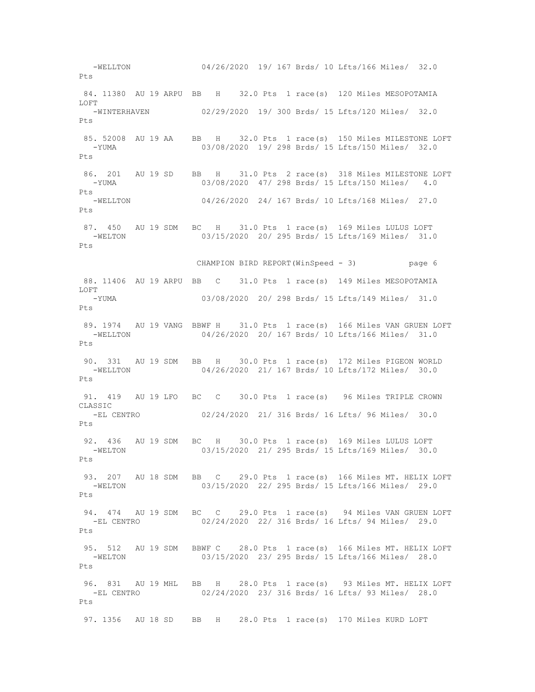-WELLTON 04/26/2020 19/ 167 Brds/ 10 Lfts/166 Miles/ 32.0 Pts 84. 11380 AU 19 ARPU BB H 32.0 Pts 1 race(s) 120 Miles MESOPOTAMIA LOFT<br>-WINTERHAVEN 02/29/2020 19/ 300 Brds/ 15 Lfts/120 Miles/ 32.0 Pts 85. 52008 AU 19 AA BB H 32.0 Pts 1 race(s) 150 Miles MILESTONE LOFT -YUMA 03/08/2020 19/ 298 Brds/ 15 Lfts/150 Miles/ 32.0 Pts 86. 201 AU 19 SD BB H 31.0 Pts 2 race(s) 318 Miles MILESTONE LOFT -YUMA 03/08/2020 47/ 298 Brds/ 15 Lfts/150 Miles/ 4.0 Pts<br>-WELLTON 04/26/2020 24/ 167 Brds/ 10 Lfts/168 Miles/ 27.0 Pts 87. 450 AU 19 SDM BC H 31.0 Pts 1 race(s) 169 Miles LULUS LOFT<br>-WELTON 03/15/2020 20/295 Brds/ 15 Lfts/169 Miles/ 31 0 03/15/2020 20/ 295 Brds/ 15 Lfts/169 Miles/ 31.0 Pts CHAMPION BIRD REPORT(WinSpeed - 3) page 6 88. 11406 AU 19 ARPU BB C 31.0 Pts 1 race(s) 149 Miles MESOPOTAMIA LOFT -YUMA 03/08/2020 20/ 298 Brds/ 15 Lfts/149 Miles/ 31.0  $P_{\text{f}}$ s 89. 1974 AU 19 VANG BBWF H 31.0 Pts 1 race(s) 166 Miles VAN GRUEN LOFT -WELLTON 04/26/2020 20/ 167 Brds/ 10 Lfts/166 Miles/ 31.0 Pts 90. 331 AU 19 SDM BB H 30.0 Pts 1 race(s) 172 Miles PIGEON WORLD -WELLTON 04/26/2020 21/ 167 Brds/ 10 Lfts/172 Miles/ 30.0 Pts 91. 419 AU 19 LFO BC C 30.0 Pts 1 race(s) 96 Miles TRIPLE CROWN CLASSIC<br>-EL CENTRO 02/24/2020 21/ 316 Brds/ 16 Lfts/ 96 Miles/ 30.0 Pts 92. 436 AU 19 SDM BC H 30.0 Pts 1 race(s) 169 Miles LULUS LOFT -WELTON 03/15/2020 21/ 295 Brds/ 15 Lfts/169 Miles/ 30.0 Pts 93. 207 AU 18 SDM BB C 29.0 Pts 1 race(s) 166 Miles MT. HELIX LOFT -WELTON 03/15/2020 22/ 295 Brds/ 15 Lfts/166 Miles/ 29.0 Pts 94. 474 AU 19 SDM BC C 29.0 Pts 1 race(s) 94 Miles VAN GRUEN LOFT -EL CENTRO 02/24/2020 22/ 316 Brds/ 16 Lfts/ 94 Miles/ 29.0 Pts 95. 512 AU 19 SDM BBWF C 28.0 Pts 1 race(s) 166 Miles MT. HELIX LOFT -WELTON 03/15/2020 23/ 295 Brds/ 15 Lfts/166 Miles/ 28.0  $P + g$  96. 831 AU 19 MHL BB H 28.0 Pts 1 race(s) 93 Miles MT. HELIX LOFT -EL CENTRO 02/24/2020 23/ 316 Brds/ 16 Lfts/ 93 Miles/ 28.0 Pts 97. 1356 AU 18 SD BB H 28.0 Pts 1 race(s) 170 Miles KURD LOFT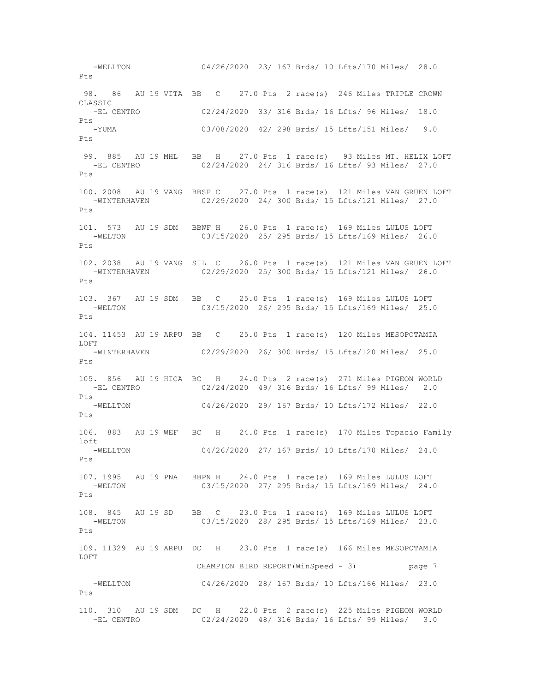-WELLTON 04/26/2020 23/ 167 Brds/ 10 Lfts/170 Miles/ 28.0 Pts 98. 86 AU 19 VITA BB C 27.0 Pts 2 race(s) 246 Miles TRIPLE CROWN CLASSIC -EL CENTRO 02/24/2020 33/ 316 Brds/ 16 Lfts/ 96 Miles/ 18.0 Pts -YUMA 03/08/2020 42/ 298 Brds/ 15 Lfts/151 Miles/ 9.0 Pts 99. 885 AU 19 MHL BB H 27.0 Pts 1 race(s) 93 Miles MT. HELIX LOFT -EL CENTRO 02/24/2020 24/ 316 Brds/ 16 Lfts/ 93 Miles/ 27.0  $P_{\text{t}}$ s 100. 2008 AU 19 VANG BBSP C 27.0 Pts 1 race(s) 121 Miles VAN GRUEN LOFT -WINTERHAVEN 02/29/2020 24/ 300 Brds/ 15 Lfts/121 Miles/ 27.0 Pts 101. 573 AU 19 SDM BBWF H 26.0 Pts 1 race(s) 169 Miles LULUS LOFT<br>-WELTON 03/15/2020 25/ 295 Brds/ 15 Lfts/169 Miles/ 26 0 03/15/2020 25/ 295 Brds/ 15 Lfts/169 Miles/ 26.0 Pts 102. 2038 AU 19 VANG SIL C 26.0 Pts 1 race(s) 121 Miles VAN GRUEN LOFT -WINTERHAVEN 02/29/2020 25/ 300 Brds/ 15 Lfts/121 Miles/ 26.0 Pts 103. 367 AU 19 SDM BB C 25.0 Pts 1 race(s) 169 Miles LULUS LOFT -WELTON 03/15/2020 26/ 295 Brds/ 15 Lfts/169 Miles/ 25.0 Pts 104. 11453 AU 19 ARPU BB C 25.0 Pts 1 race(s) 120 Miles MESOPOTAMIA LOFT -WINTERHAVEN 02/29/2020 26/ 300 Brds/ 15 Lfts/120 Miles/ 25.0 Pts 105. 856 AU 19 HICA BC H 24.0 Pts 2 race(s) 271 Miles PIGEON WORLD 02/24/2020 49/ 316 Brds/ 16 Lfts/ 99 Miles/ 2.0  $P_{\text{t}}$ s -WELLTON 04/26/2020 29/ 167 Brds/ 10 Lfts/172 Miles/ 22.0 Pts 106. 883 AU 19 WEF BC H 24.0 Pts 1 race(s) 170 Miles Topacio Family loft -WELLTON 04/26/2020 27/ 167 Brds/ 10 Lfts/170 Miles/ 24.0 Pts 107. 1995 AU 19 PNA BBPN H 24.0 Pts 1 race(s) 169 Miles LULUS LOFT -WELTON 03/15/2020 27/ 295 Brds/ 15 Lfts/169 Miles/ 24.0 Pts 108. 845 AU 19 SD BB C 23.0 Pts 1 race(s) 169 Miles LULUS LOFT -WELTON 03/15/2020 28/ 295 Brds/ 15 Lfts/169 Miles/ 23.0 Pts 109. 11329 AU 19 ARPU DC H 23.0 Pts 1 race(s) 166 Miles MESOPOTAMIA LOFT CHAMPION BIRD REPORT(WinSpeed - 3) page 7 -WELLTON 04/26/2020 28/ 167 Brds/ 10 Lfts/166 Miles/ 23.0 Pts 110. 310 AU 19 SDM DC H 22.0 Pts 2 race(s) 225 Miles PIGEON WORLD -EL CENTRO 02/24/2020 48/ 316 Brds/ 16 Lfts/ 99 Miles/ 3.0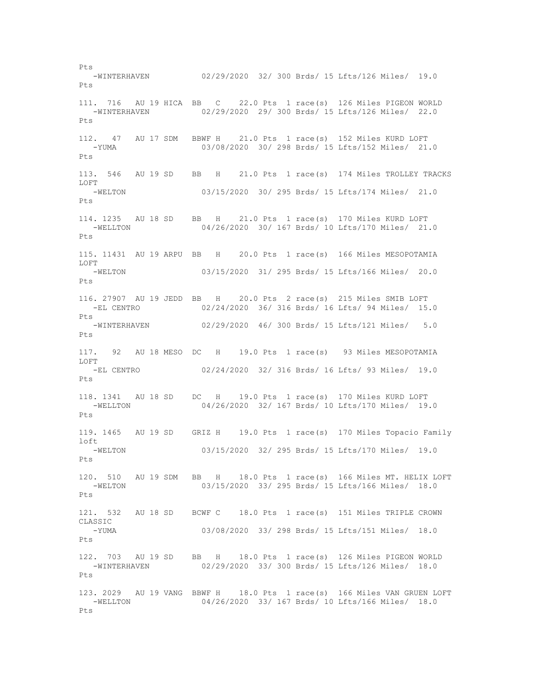-WINTERHAVEN 02/29/2020 32/ 300 Brds/ 15 Lfts/126 Miles/ 19.0 Pts 111. 716 AU 19 HICA BB C 22.0 Pts 1 race(s) 126 Miles PIGEON WORLD -WINTERHAVEN 02/29/2020 29/ 300 Brds/ 15 Lfts/126 Miles/ 22.0 Pts 112. 47 AU 17 SDM BBWF H 21.0 Pts 1 race(s) 152 Miles KURD LOFT -YUMA 03/08/2020 30/ 298 Brds/ 15 Lfts/152 Miles/ 21.0 Pts 113. 546 AU 19 SD BB H 21.0 Pts 1 race(s) 174 Miles TROLLEY TRACKS LOFT -WELTON 03/15/2020 30/ 295 Brds/ 15 Lfts/174 Miles/ 21.0 Pts 114. 1235 AU 18 SD BB H 21.0 Pts 1 race(s) 170 Miles KURD LOFT -WELLTON 04/26/2020 30/ 167 Brds/ 10 Lfts/170 Miles/ 21.0  $P_{\text{t}}$ s 115. 11431 AU 19 ARPU BB H 20.0 Pts 1 race(s) 166 Miles MESOPOTAMIA LOFT -WELTON 03/15/2020 31/ 295 Brds/ 15 Lfts/166 Miles/ 20.0 Pts 116. 27907 AU 19 JEDD BB H 20.0 Pts 2 race(s) 215 Miles SMIB LOFT -EL CENTRO 02/24/2020 36/ 316 Brds/ 16 Lfts/ 94 Miles/ 15.0 Pts -WINTERHAVEN 02/29/2020 46/ 300 Brds/ 15 Lfts/121 Miles/ 5.0 Pts 117. 92 AU 18 MESO DC H 19.0 Pts 1 race(s) 93 Miles MESOPOTAMIA LOFT<br>-EL CENTRO 02/24/2020 32/ 316 Brds/ 16 Lfts/ 93 Miles/ 19.0 Pts 118. 1341 AU 18 SD DC H 19.0 Pts 1 race(s) 170 Miles KURD LOFT -WELLTON 04/26/2020 32/ 167 Brds/ 10 Lfts/170 Miles/ 19.0 Pts 119. 1465 AU 19 SD GRIZ H 19.0 Pts 1 race(s) 170 Miles Topacio Family loft -WELTON 03/15/2020 32/ 295 Brds/ 15 Lfts/170 Miles/ 19.0 Pts 120. 510 AU 19 SDM BB H 18.0 Pts 1 race(s) 166 Miles MT. HELIX LOFT -WELTON 03/15/2020 33/ 295 Brds/ 15 Lfts/166 Miles/ 18.0 Pts 121. 532 AU 18 SD BCWF C 18.0 Pts 1 race(s) 151 Miles TRIPLE CROWN CLASSIC -YUMA 03/08/2020 33/ 298 Brds/ 15 Lfts/151 Miles/ 18.0 Pts 122. 703 AU 19 SD BB H 18.0 Pts 1 race(s) 126 Miles PIGEON WORLD -WINTERHAVEN 02/29/2020 33/ 300 Brds/ 15 Lfts/126 Miles/ 18.0 Pts 123. 2029 AU 19 VANG BBWF H 18.0 Pts 1 race(s) 166 Miles VAN GRUEN LOFT -WELLTON 04/26/2020 33/ 167 Brds/ 10 Lfts/166 Miles/ 18.0 Pts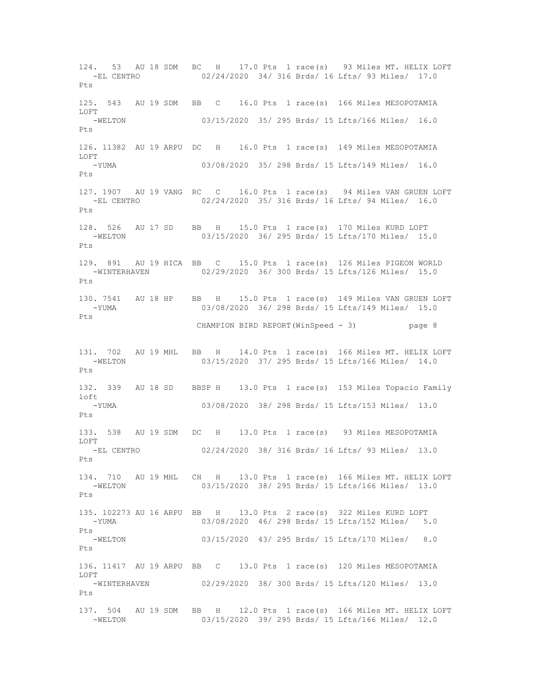124. 53 AU 18 SDM BC H 17.0 Pts 1 race(s) 93 Miles MT. HELIX LOFT 02/24/2020 34/ 316 Brds/ 16 Lfts/ 93 Miles/ 17.0 Pts 125. 543 AU 19 SDM BB C 16.0 Pts 1 race(s) 166 Miles MESOPOTAMIA LOFT -WELTON 03/15/2020 35/ 295 Brds/ 15 Lfts/166 Miles/ 16.0  $P_{\text{max}}$ 126. 11382 AU 19 ARPU DC H 16.0 Pts 1 race(s) 149 Miles MESOPOTAMIA LOFT -YUMA 03/08/2020 35/ 298 Brds/ 15 Lfts/149 Miles/ 16.0  $P_{\text{f}}$ s 127. 1907 AU 19 VANG RC C 16.0 Pts 1 race(s) 94 Miles VAN GRUEN LOFT -EL CENTRO 02/24/2020 35/ 316 Brds/ 16 Lfts/ 94 Miles/ 16.0 Pts 128. 526 AU 17 SD BB H 15.0 Pts 1 race(s) 170 Miles KURD LOFT 03/15/2020 36/ 295 Brds/ 15 Lfts/170 Miles/ 15.0 Pts 129. 891 AU 19 HICA BB C 15.0 Pts 1 race(s) 126 Miles PIGEON WORLD -WINTERHAVEN 02/29/2020 36/ 300 Brds/ 15 Lfts/126 Miles/ 15.0 Pts 130. 7541 AU 18 HP BB H 15.0 Pts 1 race(s) 149 Miles VAN GRUEN LOFT -YUMA 03/08/2020 36/ 298 Brds/ 15 Lfts/149 Miles/ 15.0 Pts CHAMPION BIRD REPORT(WinSpeed - 3) page 8 131. 702 AU 19 MHL BB H 14.0 Pts 1 race(s) 166 Miles MT. HELIX LOFT -WELTON 03/15/2020 37/ 295 Brds/ 15 Lfts/166 Miles/ 14.0  $P+s$ 132. 339 AU 18 SD BBSP H 13.0 Pts 1 race(s) 153 Miles Topacio Family  $1$  of  $t$  -YUMA 03/08/2020 38/ 298 Brds/ 15 Lfts/153 Miles/ 13.0 Pts 133. 538 AU 19 SDM DC H 13.0 Pts 1 race(s) 93 Miles MESOPOTAMIA LOFT -EL CENTRO 02/24/2020 38/ 316 Brds/ 16 Lfts/ 93 Miles/ 13.0 Pts 134. 710 AU 19 MHL CH H 13.0 Pts 1 race(s) 166 Miles MT. HELIX LOFT -WELTON 03/15/2020 38/ 295 Brds/ 15 Lfts/166 Miles/ 13.0 Pts 135. 102273 AU 16 ARPU BB H 13.0 Pts 2 race(s) 322 Miles KURD LOFT -YUMA 03/08/2020 46/ 298 Brds/ 15 Lfts/152 Miles/ 5.0 Pts -WELTON 03/15/2020 43/ 295 Brds/ 15 Lfts/170 Miles/ 8.0  $P_{\text{t}}$ s 136. 11417 AU 19 ARPU BB C 13.0 Pts 1 race(s) 120 Miles MESOPOTAMIA LOFT -WINTERHAVEN 02/29/2020 38/ 300 Brds/ 15 Lfts/120 Miles/ 13.0 Pts 137. 504 AU 19 SDM BB H 12.0 Pts 1 race(s) 166 Miles MT. HELIX LOFT -WELTON 03/15/2020 39/ 295 Brds/ 15 Lfts/166 Miles/ 12.0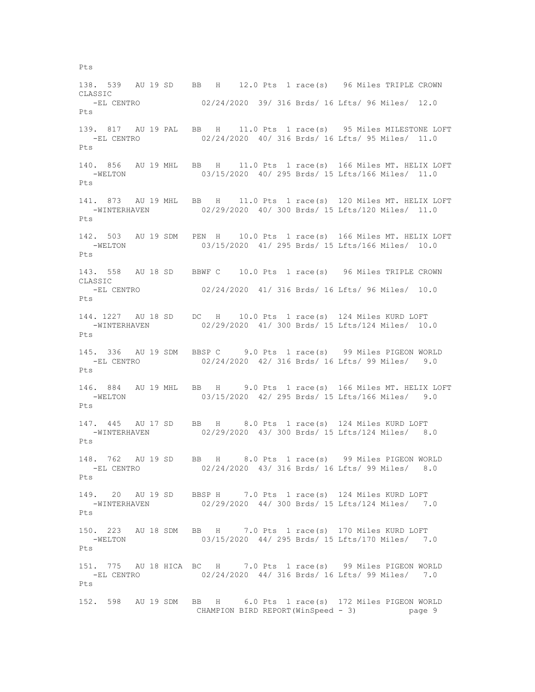138. 539 AU 19 SD BB H 12.0 Pts 1 race(s) 96 Miles TRIPLE CROWN CLASSIC -EL CENTRO 02/24/2020 39/ 316 Brds/ 16 Lfts/ 96 Miles/ 12.0 Pts 139. 817 AU 19 PAL BB H 11.0 Pts 1 race(s) 95 Miles MILESTONE LOFT<br>-EL CENTRO 02/24/2020 40/316 Brds/16 Lfts/95 Miles/11.0 02/24/2020 40/ 316 Brds/ 16 Lfts/ 95 Miles/ 11.0  $P_{\text{t}}$ s 140. 856 AU 19 MHL BB H 11.0 Pts 1 race(s) 166 Miles MT. HELIX LOFT -WELTON 03/15/2020 40/ 295 Brds/ 15 Lfts/166 Miles/ 11.0 Pts 141. 873 AU 19 MHL BB H 11.0 Pts 1 race(s) 120 Miles MT. HELIX LOFT -WINTERHAVEN 02/29/2020 40/ 300 Brds/ 15 Lfts/120 Miles/ 11.0 Pts 142. 503 AU 19 SDM PEN H 10.0 Pts 1 race(s) 166 Miles MT. HELIX LOFT -WELTON 03/15/2020 41/ 295 Brds/ 15 Lfts/166 Miles/ 10.0 Pts 143. 558 AU 18 SD BBWF C 10.0 Pts 1 race(s) 96 Miles TRIPLE CROWN CLASSIC -EL CENTRO 02/24/2020 41/ 316 Brds/ 16 Lfts/ 96 Miles/ 10.0 Pts 144. 1227 AU 18 SD DC H 10.0 Pts 1 race(s) 124 Miles KURD LOFT -WINTERHAVEN 02/29/2020 41/ 300 Brds/ 15 Lfts/124 Miles/ 10.0 Pts 145. 336 AU 19 SDM BBSP C 9.0 Pts 1 race(s) 99 Miles PIGEON WORLD -EL CENTRO 02/24/2020 42/ 316 Brds/ 16 Lfts/ 99 Miles/ 9.0  $P+s$ 146. 884 AU 19 MHL BB H 9.0 Pts 1 race(s) 166 Miles MT. HELIX LOFT -WELTON 03/15/2020 42/ 295 Brds/ 15 Lfts/166 Miles/ 9.0 Pts 147. 445 AU 17 SD BB H 8.0 Pts 1 race(s) 124 Miles KURD LOFT<br>-WINTERHAVEN 02/29/2020 43/ 300 Brds/ 15 Lfts/124 Miles/ 8 02/29/2020 43/ 300 Brds/ 15 Lfts/124 Miles/ 8.0 Pts 148. 762 AU 19 SD BB H 8.0 Pts 1 race(s) 99 Miles PIGEON WORLD -EL CENTRO 02/24/2020 43/ 316 Brds/ 16 Lfts/ 99 Miles/ 8.0 Pts 149. 20 AU 19 SD BBSP H 7.0 Pts 1 race(s) 124 Miles KURD LOFT -WINTERHAVEN 02/29/2020 44/ 300 Brds/ 15 Lfts/124 Miles/ 7.0 Pts 150. 223 AU 18 SDM BB H 7.0 Pts 1 race(s) 170 Miles KURD LOFT -WELTON 03/15/2020 44/ 295 Brds/ 15 Lfts/170 Miles/ 7.0  $P_{\text{t}}$ s 151. 775 AU 18 HICA BC H 7.0 Pts 1 race(s) 99 Miles PIGEON WORLD -EL CENTRO 02/24/2020 44/ 316 Brds/ 16 Lfts/ 99 Miles/ 7.0 Pts 152. 598 AU 19 SDM BB H 6.0 Pts 1 race(s) 172 Miles PIGEON WORLD CHAMPION BIRD REPORT(WinSpeed - 3) page 9